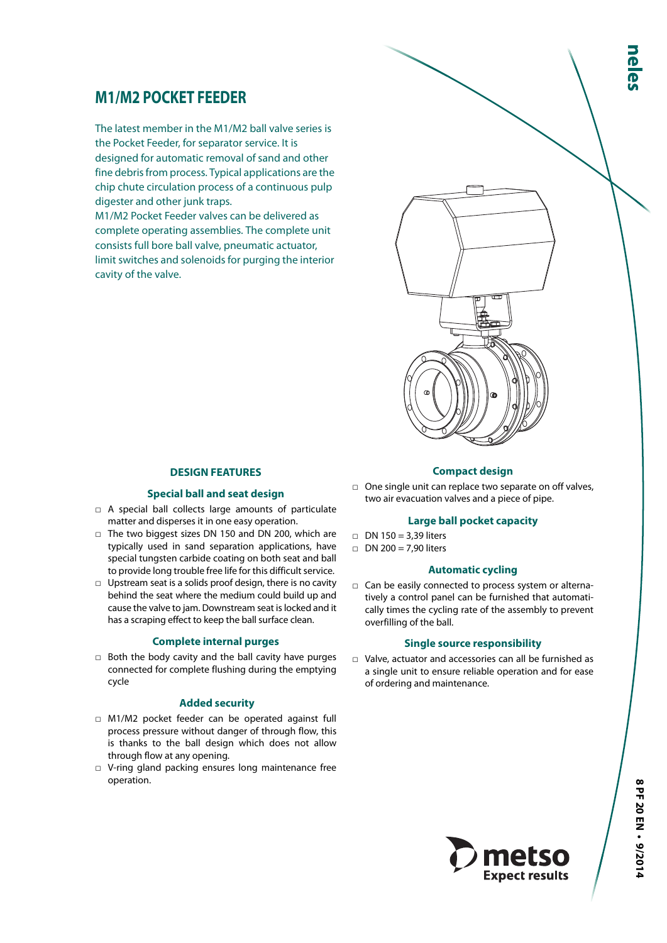# **M1/M2 POCKET FEEDER**

The latest member in the M1/M2 ball valve series is the Pocket Feeder, for separator service. It is designed for automatic removal of sand and other fine debris from process. Typical applications are the chip chute circulation process of a continuous pulp digester and other junk traps.

M1/M2 Pocket Feeder valves can be delivered as complete operating assemblies. The complete unit consists full bore ball valve, pneumatic actuator, limit switches and solenoids for purging the interior cavity of the valve.



### **DESIGN FEATURES**

#### **Special ball and seat design**

- □ A special ball collects large amounts of particulate matter and disperses it in one easy operation.
- □ The two biggest sizes DN 150 and DN 200, which are typically used in sand separation applications, have special tungsten carbide coating on both seat and ball to provide long trouble free life for this difficult service.
- □ Upstream seat is a solids proof design, there is no cavity behind the seat where the medium could build up and cause the valve to jam. Downstream seat is locked and it has a scraping effect to keep the ball surface clean.

#### **Complete internal purges**

□ Both the body cavity and the ball cavity have purges connected for complete flushing during the emptying cycle

#### **Added security**

- □ M1/M2 pocket feeder can be operated against full process pressure without danger of through flow, this is thanks to the ball design which does not allow through flow at any opening.
- □ V-ring gland packing ensures long maintenance free operation.

## **Compact design**

□ One single unit can replace two separate on off valves, two air evacuation valves and a piece of pipe.

## **Large ball pocket capacity**

- $\Box$  DN 150 = 3,39 liters
- $\Box$  DN 200 = 7.90 liters

#### **Automatic cycling**

□ Can be easily connected to process system or alternatively a control panel can be furnished that automatically times the cycling rate of the assembly to prevent overfilling of the ball.

#### **Single source responsibility**

□ Valve, actuator and accessories can all be furnished as a single unit to ensure reliable operation and for ease of ordering and maintenance.

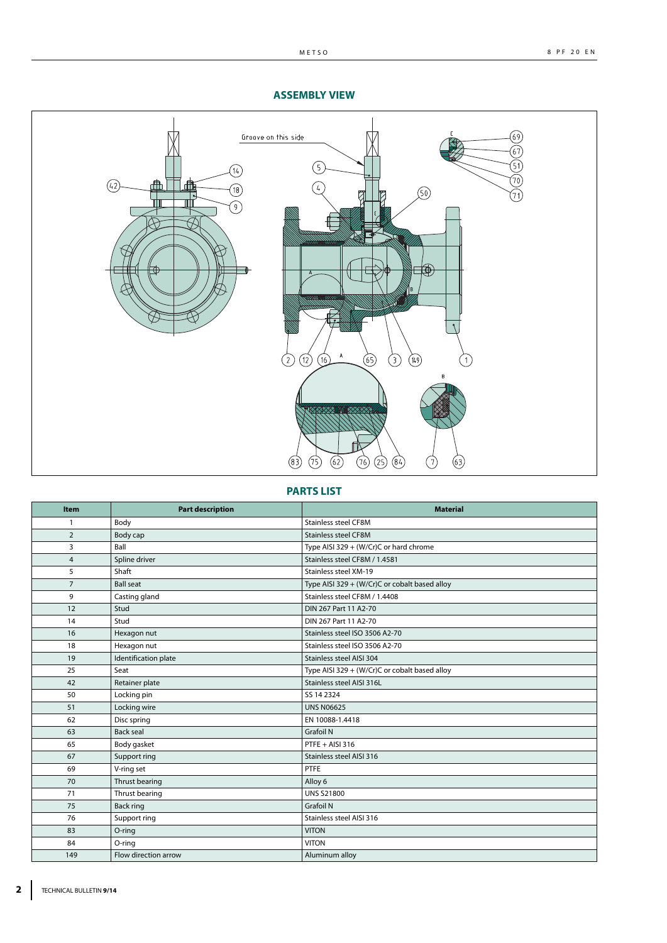

## **ASSEMBLY VIEW**

**PARTS LIST**

| Item           | <b>Part description</b> | <b>Material</b>                               |
|----------------|-------------------------|-----------------------------------------------|
| 1              | Body                    | <b>Stainless steel CF8M</b>                   |
| $\overline{2}$ | Body cap                | Stainless steel CF8M                          |
| 3              | Ball                    | Type AISI 329 + (W/Cr)C or hard chrome        |
| $\overline{4}$ | Spline driver           | Stainless steel CF8M / 1.4581                 |
| 5              | Shaft                   | Stainless steel XM-19                         |
| $\overline{7}$ | <b>Ball seat</b>        | Type AISI 329 + (W/Cr)C or cobalt based alloy |
| 9              | Casting gland           | Stainless steel CF8M / 1.4408                 |
| 12             | Stud                    | DIN 267 Part 11 A2-70                         |
| 14             | Stud                    | DIN 267 Part 11 A2-70                         |
| 16             | Hexagon nut             | Stainless steel ISO 3506 A2-70                |
| 18             | Hexagon nut             | Stainless steel ISO 3506 A2-70                |
| 19             | Identification plate    | Stainless steel AISI 304                      |
| 25             | Seat                    | Type AISI 329 + (W/Cr)C or cobalt based alloy |
| 42             | Retainer plate          | Stainless steel AISI 316L                     |
| 50             | Locking pin             | SS 14 2324                                    |
| 51             | Locking wire            | <b>UNS N06625</b>                             |
| 62             | Disc spring             | EN 10088-1.4418                               |
| 63             | <b>Back seal</b>        | <b>Grafoil N</b>                              |
| 65             | Body gasket             | $PTFE + AISI 316$                             |
| 67             | Support ring            | Stainless steel AISI 316                      |
| 69             | V-ring set              | PTFE                                          |
| 70             | Thrust bearing          | Alloy 6                                       |
| 71             | Thrust bearing          | <b>UNS S21800</b>                             |
| 75             | <b>Back ring</b>        | <b>Grafoil N</b>                              |
| 76             | Support ring            | Stainless steel AISI 316                      |
| 83             | O-ring                  | <b>VITON</b>                                  |
| 84             | O-ring                  | <b>VITON</b>                                  |
| 149            | Flow direction arrow    | Aluminum alloy                                |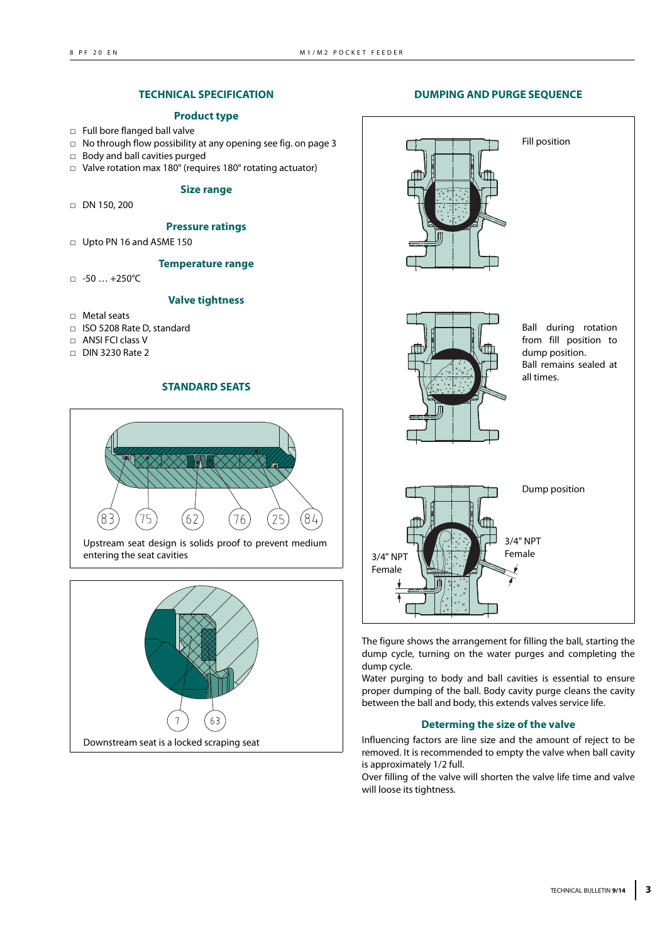## **TECHNICAL SPECIFICATION**

#### **Product type**

- □ Full bore flanged ball valve
- □ No through flow possibility at any opening see fig. on page 3
- □ Body and ball cavities purged
- □ Valve rotation max 180° (requires 180° rotating actuator)

#### **Size range**

□ DN 150, 200

#### **Pressure ratings**

□ Upto PN 16 and ASME 150

### **Temperature range**

□ -50 … +250°C

## **Valve tightness**

- □ Metal seats
- □ ISO 5208 Rate D, standard
- □ ANSI FCI class V
- □ DIN 3230 Rate 2

## **STANDARD SEATS**



Upstream seat design is solids proof to prevent medium entering the seat cavities



#### **DUMPING AND PURGE SEQUENCE**



The figure shows the arrangement for filling the ball, starting the dump cycle, turning on the water purges and completing the dump cycle.

Water purging to body and ball cavities is essential to ensure proper dumping of the ball. Body cavity purge cleans the cavity between the ball and body, this extends valves service life.

#### **Determing the size of the valve**

Influencing factors are line size and the amount of reject to be removed. It is recommended to empty the valve when ball cavity is approximately 1/2 full.

Over filling of the valve will shorten the valve life time and valve will loose its tightness.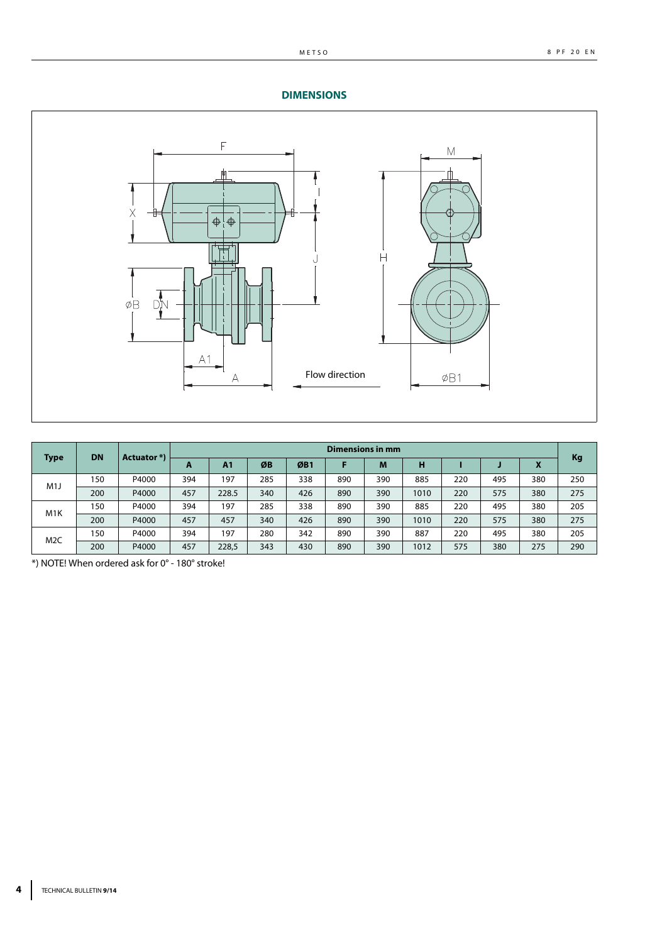## **DIMENSIONS**



| <b>DN</b><br><b>Type</b> | <b>Actuator</b> *) | <b>Dimensions in mm</b> |     |                |     |     |     |     |      |     |     |     |     |
|--------------------------|--------------------|-------------------------|-----|----------------|-----|-----|-----|-----|------|-----|-----|-----|-----|
|                          |                    |                         | A   | A <sub>1</sub> | ØB  | ØB1 |     | M   | н    |     |     | Λ   | Kg  |
| M1J                      | 150                | P4000                   | 394 | 197            | 285 | 338 | 890 | 390 | 885  | 220 | 495 | 380 | 250 |
|                          | 200                | P4000                   | 457 | 228.5          | 340 | 426 | 890 | 390 | 1010 | 220 | 575 | 380 | 275 |
| M <sub>1</sub> K         | 150                | P4000                   | 394 | 197            | 285 | 338 | 890 | 390 | 885  | 220 | 495 | 380 | 205 |
|                          | 200                | P4000                   | 457 | 457            | 340 | 426 | 890 | 390 | 1010 | 220 | 575 | 380 | 275 |
|                          | 150                | P4000                   | 394 | 197            | 280 | 342 | 890 | 390 | 887  | 220 | 495 | 380 | 205 |
| M <sub>2</sub> C         | 200                | P4000                   | 457 | 228,5          | 343 | 430 | 890 | 390 | 1012 | 575 | 380 | 275 | 290 |

\*) NOTE! When ordered ask for 0° - 180° stroke!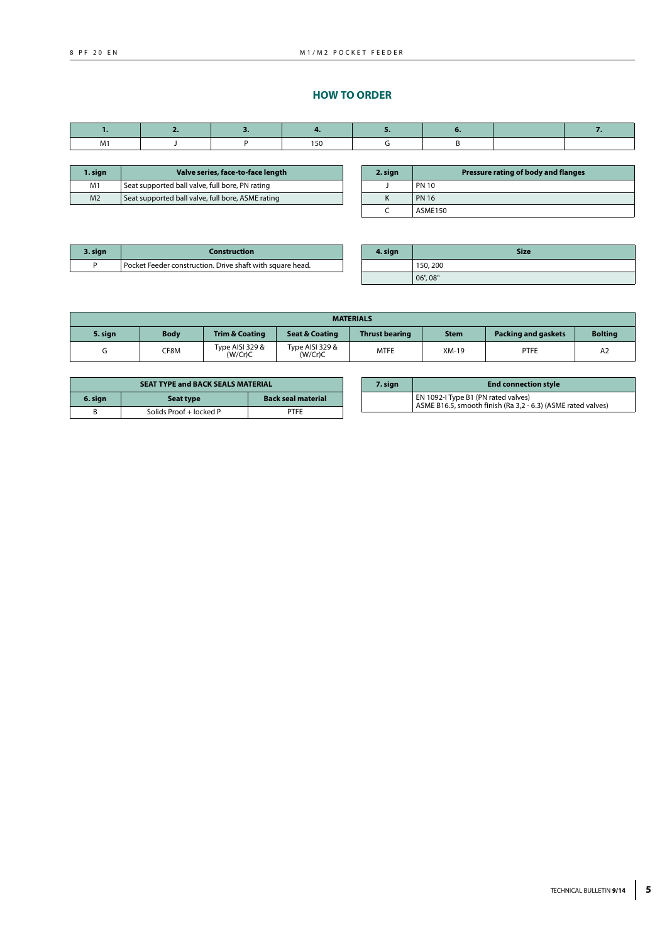## **HOW TO ORDER**

| M١ |  | 150<br>$\sim$ $\sim$ |  |  |
|----|--|----------------------|--|--|

| 1. sign        | Valve series, face-to-face length                 |  |
|----------------|---------------------------------------------------|--|
| M <sub>1</sub> | Seat supported ball valve, full bore, PN rating   |  |
| M <sub>2</sub> | Seat supported ball valve, full bore, ASME rating |  |

| 2. sign | Pressure rating of body and flanges |
|---------|-------------------------------------|
|         | <b>PN 10</b>                        |
|         | <b>PN 16</b>                        |
|         | <b>ASME150</b>                      |

| 3. sign | Construction                                              |
|---------|-----------------------------------------------------------|
|         | Pocket Feeder construction. Drive shaft with square head. |

| 4. sign | <b>Size</b> |
|---------|-------------|
|         | 150, 200    |
|         | 06", 08"    |

|         | <b>MATERIALS</b> |                            |                            |                       |             |                            |                |
|---------|------------------|----------------------------|----------------------------|-----------------------|-------------|----------------------------|----------------|
| 5. sian | <b>Body</b>      | <b>Trim &amp; Coating</b>  | <b>Seat &amp; Coating</b>  | <b>Thrust bearing</b> | <b>Stem</b> | <b>Packing and gaskets</b> | <b>Boltina</b> |
|         | CF8M             | Type AISI 329 &<br>(W/Cr)C | Type AISI 329 &<br>(W/Cr)C | <b>MTFE</b>           | XM-19       | <b>PTFE</b>                | A <sub>2</sub> |

| <b>SEAT TYPE and BACK SEALS MATERIAL</b> |                         |                           |  |  |
|------------------------------------------|-------------------------|---------------------------|--|--|
| 6. sign                                  | Seat type               | <b>Back seal material</b> |  |  |
|                                          | Solids Proof + locked P | PTFF                      |  |  |

| 7. sign | <b>End connection style</b>                                                                         |  |  |  |  |
|---------|-----------------------------------------------------------------------------------------------------|--|--|--|--|
|         | EN 1092-I Type B1 (PN rated valves)<br>ASME B16.5, smooth finish (Ra 3,2 - 6.3) (ASME rated valves) |  |  |  |  |